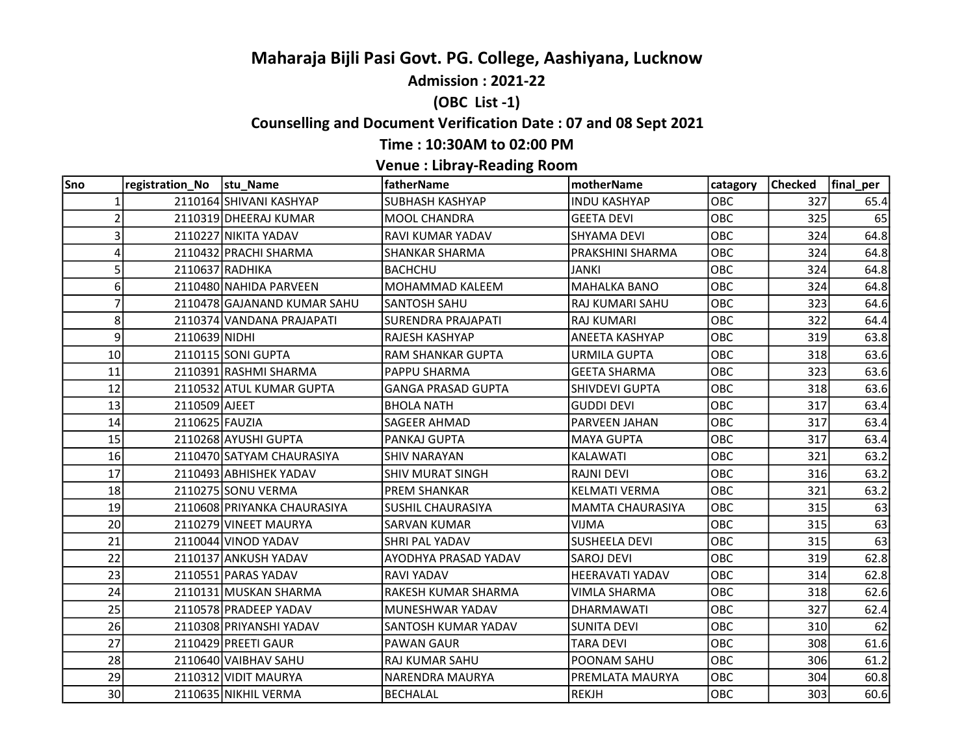# Maharaja Bijli Pasi Govt. PG. College, Aashiyana, Lucknow

Admission : 2021-22

# (OBC List -1)

# Counselling and Document Verification Date : 07 and 08 Sept 2021

#### Time : 10:30AM to 02:00 PM

# Venue : Libray-Reading Room

| Sno            | registration_No  stu_Name |                             | fatherName                | motherName              | catagory | Checked | final_per |
|----------------|---------------------------|-----------------------------|---------------------------|-------------------------|----------|---------|-----------|
| 1              |                           | 2110164 SHIVANI KASHYAP     | SUBHASH KASHYAP           | <b>INDU KASHYAP</b>     | OBC      | 327     | 65.4      |
| $\overline{2}$ |                           | 2110319 DHEERAJ KUMAR       | <b>MOOL CHANDRA</b>       | <b>GEETA DEVI</b>       | OBC      | 325     | 65        |
| 3              |                           | 2110227 NIKITA YADAV        | RAVI KUMAR YADAV          | <b>SHYAMA DEVI</b>      | OBC      | 324     | 64.8      |
| 4              |                           | 2110432 PRACHI SHARMA       | <b>SHANKAR SHARMA</b>     | PRAKSHINI SHARMA        | OBC      | 324     | 64.8      |
| 5              |                           | 2110637 RADHIKA             | <b>BACHCHU</b>            | JANKI                   | OBC      | 324     | 64.8      |
| 6 <sup>1</sup> |                           | 2110480 NAHIDA PARVEEN      | <b>MOHAMMAD KALEEM</b>    | <b>MAHALKA BANO</b>     | OBC      | 324     | 64.8      |
| 7              |                           | 2110478 GAJANAND KUMAR SAHU | <b>SANTOSH SAHU</b>       | RAJ KUMARI SAHU         | OBC      | 323     | 64.6      |
| 8              |                           | 2110374 VANDANA PRAJAPATI   | <b>SURENDRA PRAJAPATI</b> | <b>RAJ KUMARI</b>       | OBC      | 322     | 64.4      |
| $\overline{9}$ | 2110639 NIDHI             |                             | <b>RAJESH KASHYAP</b>     | <b>ANEETA KASHYAP</b>   | OBC      | 319     | 63.8      |
| 10             |                           | 2110115 SONI GUPTA          | <b>RAM SHANKAR GUPTA</b>  | URMILA GUPTA            | OBC      | 318     | 63.6      |
| 11             |                           | 2110391 RASHMI SHARMA       | PAPPU SHARMA              | <b>GEETA SHARMA</b>     | OBC      | 323     | 63.6      |
| 12             |                           | 2110532 ATUL KUMAR GUPTA    | <b>GANGA PRASAD GUPTA</b> | <b>SHIVDEVI GUPTA</b>   | OBC      | 318     | 63.6      |
| 13             | 2110509 AJEET             |                             | <b>BHOLA NATH</b>         | <b>GUDDI DEVI</b>       | OBC      | 317     | 63.4      |
| 14             | 2110625 FAUZIA            |                             | <b>SAGEER AHMAD</b>       | PARVEEN JAHAN           | OBC      | 317     | 63.4      |
| 15             |                           | 2110268 AYUSHI GUPTA        | PANKAJ GUPTA              | <b>MAYA GUPTA</b>       | OBC      | 317     | 63.4      |
| 16             |                           | 2110470 SATYAM CHAURASIYA   | <b>SHIV NARAYAN</b>       | KALAWATI                | OBC      | 321     | 63.2      |
| 17             |                           | 2110493 ABHISHEK YADAV      | <b>SHIV MURAT SINGH</b>   | <b>RAJNI DEVI</b>       | OBC      | 316     | 63.2      |
| 18             |                           | 2110275 SONU VERMA          | <b>PREM SHANKAR</b>       | <b>KELMATI VERMA</b>    | OBC      | 321     | 63.2      |
| 19             |                           | 2110608 PRIYANKA CHAURASIYA | <b>SUSHIL CHAURASIYA</b>  | <b>MAMTA CHAURASIYA</b> | OBC      | 315     | 63        |
| 20             |                           | 2110279 VINEET MAURYA       | <b>SARVAN KUMAR</b>       | <b>VIJMA</b>            | OBC      | 315     | 63        |
| 21             |                           | 2110044 VINOD YADAV         | <b>SHRI PAL YADAV</b>     | <b>SUSHEELA DEVI</b>    | OBC      | 315     | 63        |
| 22             |                           | 2110137 ANKUSH YADAV        | AYODHYA PRASAD YADAV      | <b>SAROJ DEVI</b>       | OBC      | 319     | 62.8      |
| 23             |                           | 2110551 PARAS YADAV         | <b>RAVI YADAV</b>         | <b>HEERAVATI YADAV</b>  | OBC      | 314     | 62.8      |
| 24             |                           | 2110131 MUSKAN SHARMA       | RAKESH KUMAR SHARMA       | VIMLA SHARMA            | OBC      | 318     | 62.6      |
| 25             |                           | 2110578 PRADEEP YADAV       | MUNESHWAR YADAV           | DHARMAWATI              | OBC      | 327     | 62.4      |
| 26             |                           | 2110308 PRIYANSHI YADAV     | SANTOSH KUMAR YADAV       | <b>SUNITA DEVI</b>      | OBC      | 310     | 62        |
| 27             |                           | 2110429 PREETI GAUR         | <b>PAWAN GAUR</b>         | <b>TARA DEVI</b>        | OBC      | 308     | 61.6      |
| 28             |                           | 2110640 VAIBHAV SAHU        | RAJ KUMAR SAHU            | POONAM SAHU             | OBC      | 306     | 61.2      |
| 29             |                           | 2110312 VIDIT MAURYA        | NARENDRA MAURYA           | PREMLATA MAURYA         | OBC      | 304     | 60.8      |
| 30             |                           | 2110635 NIKHIL VERMA        | <b>BECHALAL</b>           | <b>REKJH</b>            | OBC      | 303     | 60.6      |